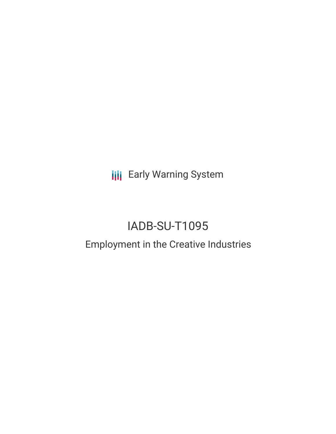**III** Early Warning System

# IADB-SU-T1095

## Employment in the Creative Industries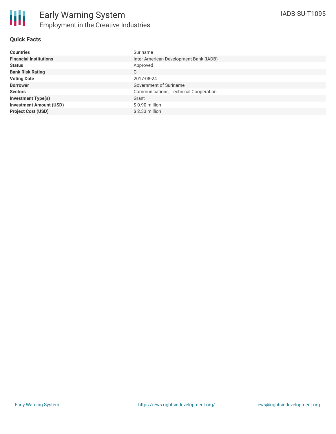#### **Quick Facts**

| <b>Countries</b>               | Suriname                               |
|--------------------------------|----------------------------------------|
| <b>Financial Institutions</b>  | Inter-American Development Bank (IADB) |
| <b>Status</b>                  | Approved                               |
| <b>Bank Risk Rating</b>        | C                                      |
| <b>Voting Date</b>             | 2017-08-24                             |
| <b>Borrower</b>                | Government of Suriname                 |
| <b>Sectors</b>                 | Communications, Technical Cooperation  |
| <b>Investment Type(s)</b>      | Grant                                  |
| <b>Investment Amount (USD)</b> | $$0.90$ million                        |
| <b>Project Cost (USD)</b>      | $$2.33$ million                        |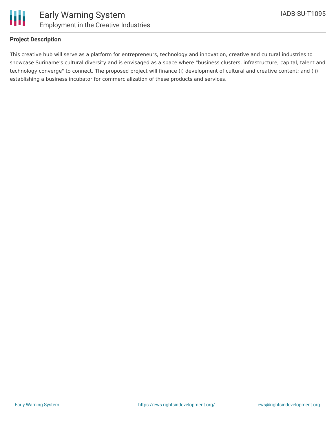

#### **Project Description**

This creative hub will serve as a platform for entrepreneurs, technology and innovation, creative and cultural industries to showcase Suriname's cultural diversity and is envisaged as a space where "business clusters, infrastructure, capital, talent and technology converge" to connect. The proposed project will finance (i) development of cultural and creative content; and (ii) establishing a business incubator for commercialization of these products and services.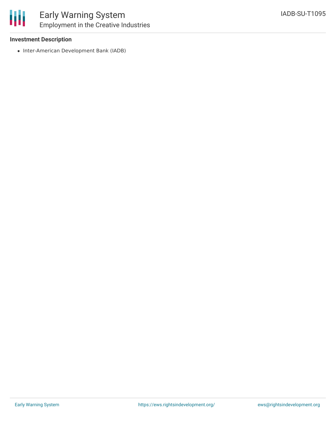

#### **Investment Description**

• Inter-American Development Bank (IADB)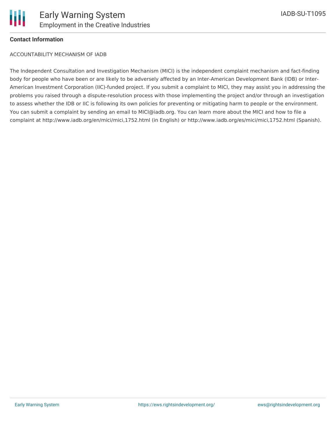#### **Contact Information**

ACCOUNTABILITY MECHANISM OF IADB

The Independent Consultation and Investigation Mechanism (MICI) is the independent complaint mechanism and fact-finding body for people who have been or are likely to be adversely affected by an Inter-American Development Bank (IDB) or Inter-American Investment Corporation (IIC)-funded project. If you submit a complaint to MICI, they may assist you in addressing the problems you raised through a dispute-resolution process with those implementing the project and/or through an investigation to assess whether the IDB or IIC is following its own policies for preventing or mitigating harm to people or the environment. You can submit a complaint by sending an email to MICI@iadb.org. You can learn more about the MICI and how to file a complaint at http://www.iadb.org/en/mici/mici,1752.html (in English) or http://www.iadb.org/es/mici/mici,1752.html (Spanish).